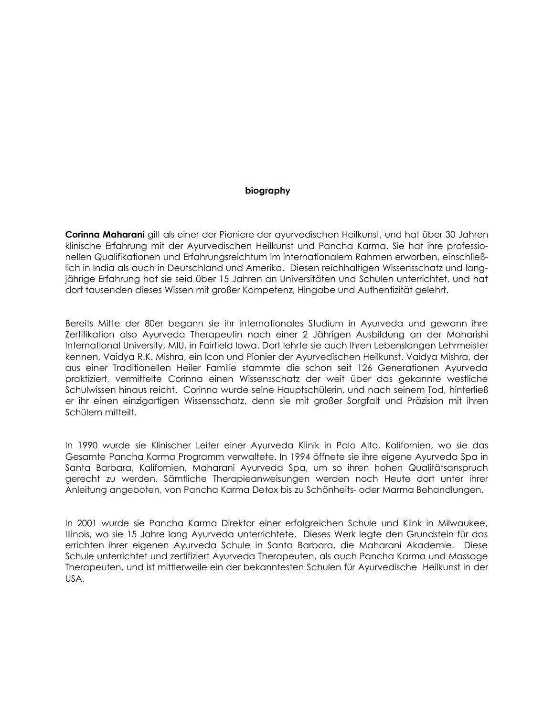### biography

Corinna Maharani gilt als einer der Pioniere der ayurvedischen Heilkunst, und hat über 30 Jahren klinische Erfahrung mit der Ayurvedischen Heilkunst und Pancha Karma. Sie hat ihre professionellen Qualifikationen und Erfahrungsreichtum im internationalem Rahmen erworben, einschließlich in India als auch in Deutschland und Amerika. Diesen reichhaltigen Wissensschatz und langjährige Erfahrung hat sie seid über 15 Jahren an Universitäten und Schulen unterrichtet, und hat dort tausenden dieses Wissen mit großer Kompetenz, Hingabe und Authentizität gelehrt.

Bereits Mitte der 80er begann sie ihr internationales Studium in Ayurveda und gewann ihre Zertifikation also Ayurveda Therapeutin nach einer 2 Jährigen Ausbildung an der Maharishi International University, MIU, in Fairfield Iowa. Dort lehrte sie auch Ihren Lebenslangen Lehrmeister kennen, Vaidya R.K. Mishra, ein Icon und Pionier der Ayurvedischen Heilkunst. Vaidya Mishra, der aus einer Traditionellen Heiler Familie stammte die schon seit 126 Generationen Ayurveda praktiziert, vermittelte Corinna einen Wissensschatz der weit über das gekannte westliche Schulwissen hinaus reicht. Corinna wurde seine Hauptschülerin, und nach seinem Tod, hinterließ er ihr einen einzigartigen Wissensschatz, denn sie mit großer Sorgfalt und Präzision mit ihren Schülern mitteilt.

In 1990 wurde sie Klinischer Leiter einer Ayurveda Klinik in Palo Alto, Kalifornien, wo sie das Gesamte Pancha Karma Programm verwaltete. In 1994 öffnete sie ihre eigene Ayurveda Spa in Santa Barbara, Kalifornien, Maharani Ayurveda Spa, um so ihren hohen Qualitätsanspruch gerecht zu werden. Sämtliche Therapieanweisungen werden noch Heute dort unter ihrer Anleitung angeboten, von Pancha Karma Detox bis zu Schönheits- oder Marma Behandlungen.

In 2001 wurde sie Pancha Karma Direktor einer erfolgreichen Schule und Klink in Milwaukee, Illinois, wo sie 15 Jahre lang Ayurveda unterrichtete. Dieses Werk legte den Grundstein für das errichten ihrer eigenen Ayurveda Schule in Santa Barbara, die Maharani Akademie. Diese Schule unterrichtet und zertifiziert Ayurveda Therapeuten, als auch Pancha Karma und Massage Therapeuten, und ist mittlerweile ein der bekanntesten Schulen für Ayurvedische Heilkunst in der USA.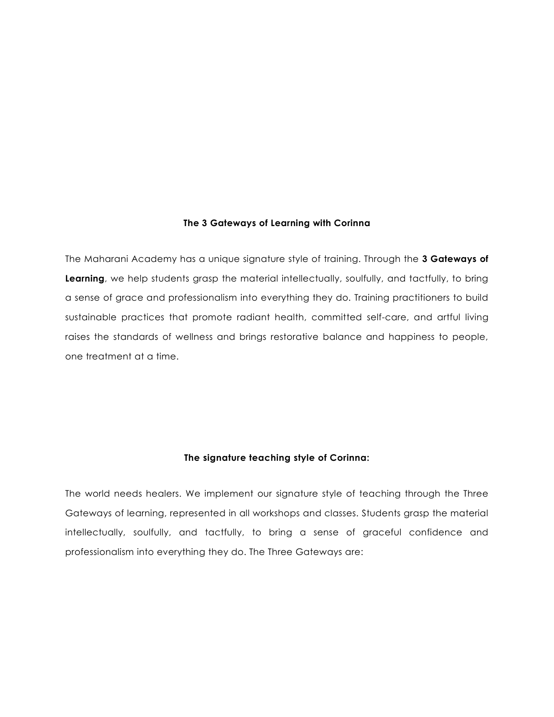#### The 3 Gateways of Learning with Corinna

The Maharani Academy has a unique signature style of training. Through the 3 Gateways of Learning, we help students grasp the material intellectually, soulfully, and tactfully, to bring a sense of grace and professionalism into everything they do. Training practitioners to build sustainable practices that promote radiant health, committed self-care, and artful living raises the standards of wellness and brings restorative balance and happiness to people, one treatment at a time.

# The signature teaching style of Corinna:

The world needs healers. We implement our signature style of teaching through the Three Gateways of learning, represented in all workshops and classes. Students grasp the material intellectually, soulfully, and tactfully, to bring a sense of graceful confidence and professionalism into everything they do. The Three Gateways are: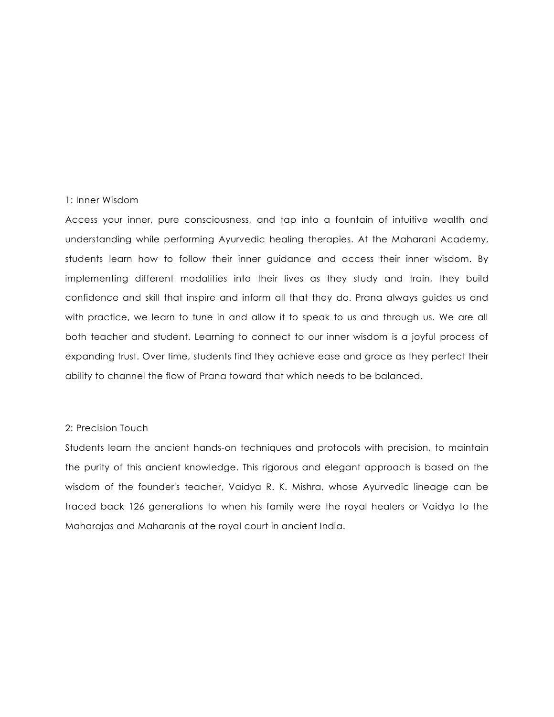## 1: Inner Wisdom

Access your inner, pure consciousness, and tap into a fountain of intuitive wealth and understanding while performing Ayurvedic healing therapies. At the Maharani Academy, students learn how to follow their inner guidance and access their inner wisdom. By implementing different modalities into their lives as they study and train, they build confidence and skill that inspire and inform all that they do. Prana always guides us and with practice, we learn to tune in and allow it to speak to us and through us. We are all both teacher and student. Learning to connect to our inner wisdom is a joyful process of expanding trust. Over time, students find they achieve ease and grace as they perfect their ability to channel the flow of Prana toward that which needs to be balanced.

# 2: Precision Touch

Students learn the ancient hands-on techniques and protocols with precision, to maintain the purity of this ancient knowledge. This rigorous and elegant approach is based on the wisdom of the founder's teacher, Vaidya R. K. Mishra, whose Ayurvedic lineage can be traced back 126 generations to when his family were the royal healers or Vaidya to the Maharajas and Maharanis at the royal court in ancient India.